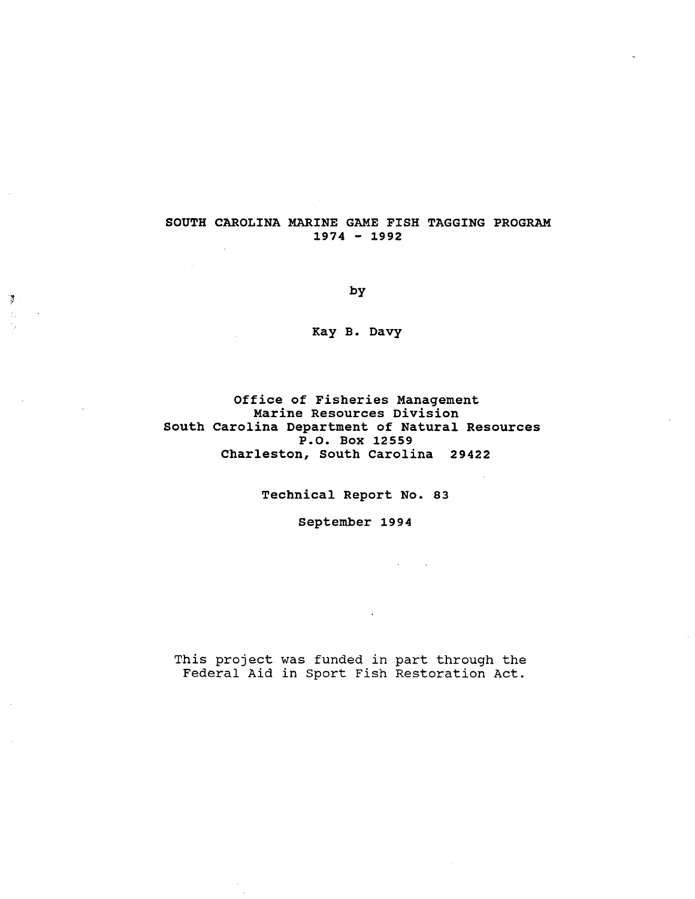## SOUTH CAROLINA MARINE GAME FISH TAGGING PROGRAM 1974 - 1992

by

Ť

Kay B. Davy

Office of Fisheries Management Marine Resources Division south carolina Department of Natural Resources P.O. Box 12559 Charleston, South carolina 29422

Technical Report No. 83

September 1994

This project was funded in part through the Federal Aid in Sport Fish Restoration Act.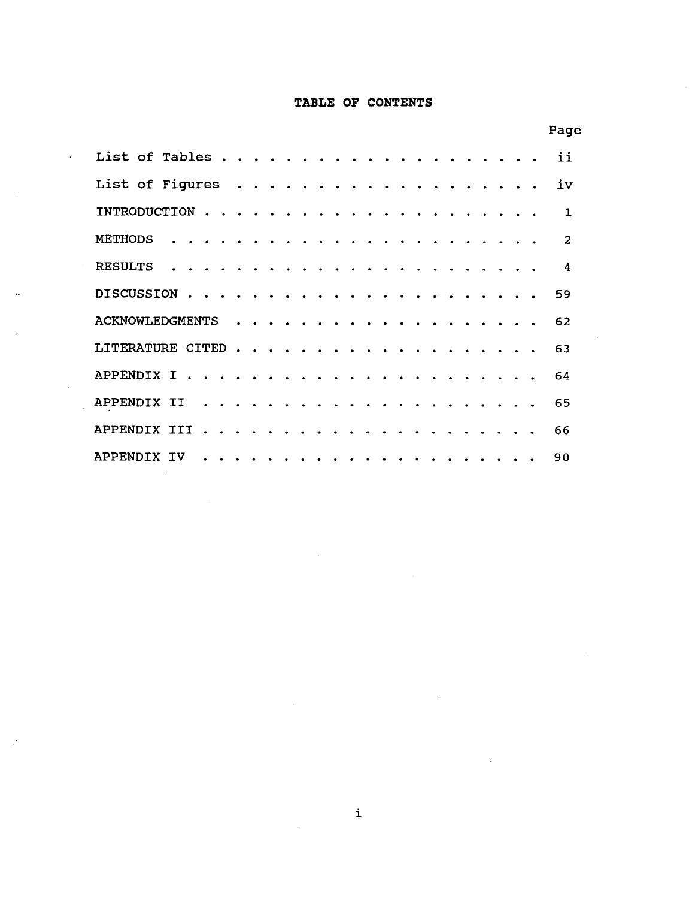## **TABLE OF CONTENTS**

|                                                 |                             |              |                                            |  |                                    |  |        |               |        |                      |                                                                                                                                     |  | Page         |
|-------------------------------------------------|-----------------------------|--------------|--------------------------------------------|--|------------------------------------|--|--------|---------------|--------|----------------------|-------------------------------------------------------------------------------------------------------------------------------------|--|--------------|
| List of Tables.                                 |                             |              |                                            |  |                                    |  |        |               |        |                      |                                                                                                                                     |  | ii           |
| List of Figures                                 |                             |              |                                            |  |                                    |  |        | $\sim$ $\sim$ |        |                      |                                                                                                                                     |  | iv           |
| INTRODUCTION                                    |                             |              | $\mathbf{r}$ , $\mathbf{r}$ , $\mathbf{r}$ |  | $\sim$ $\sim$ $\sim$ $\sim$ $\sim$ |  |        |               |        |                      |                                                                                                                                     |  | $\mathbf{1}$ |
| <b>METHODS</b>                                  |                             |              |                                            |  |                                    |  |        |               |        |                      |                                                                                                                                     |  | 2            |
| <b>RESULTS</b>                                  |                             |              |                                            |  |                                    |  |        |               |        |                      |                                                                                                                                     |  | 4            |
| <b>DISCUSSION</b><br>$\sim$<br>$\sim$<br>$\sim$ | $\sim$ $\sim$ $\sim$ $\sim$ |              |                                            |  |                                    |  |        |               |        |                      |                                                                                                                                     |  | 59           |
| <b>ACKNOWLEDGMENTS</b>                          |                             | $\mathbf{A}$ | $\mathbf{r}$ $\mathbf{r}$                  |  |                                    |  |        |               |        |                      |                                                                                                                                     |  | 62           |
| LITERATURE CITED                                |                             |              |                                            |  |                                    |  | $\sim$ | $\sim$        | $\sim$ | $\sim$               |                                                                                                                                     |  | 63           |
| APPENDIX I                                      |                             |              |                                            |  | $\mathbf{r}$ and $\mathbf{r}$      |  |        | $\sim$        |        | $\sim$               |                                                                                                                                     |  | 64           |
| APPENDIX II<br>$\mathbf{A}$                     | $\sim$ $\sim$               |              |                                            |  |                                    |  |        |               |        | $\sim$ $\sim$ $\sim$ |                                                                                                                                     |  | 65           |
| APPENDIX III<br>$\sim$                          |                             |              |                                            |  |                                    |  |        |               |        |                      |                                                                                                                                     |  | 66           |
| APPENDIX IV<br>$\sim$<br>$\bullet$              | $\sim$ $\sim$               |              |                                            |  |                                    |  |        |               |        |                      | $\begin{array}{cccccccccccccc} \bullet & \bullet & \bullet & \bullet & \bullet & \bullet & \bullet & \bullet & \bullet \end{array}$ |  | 90           |

 $\bar{z}$ 

 $\bar{\mathbf{a}}$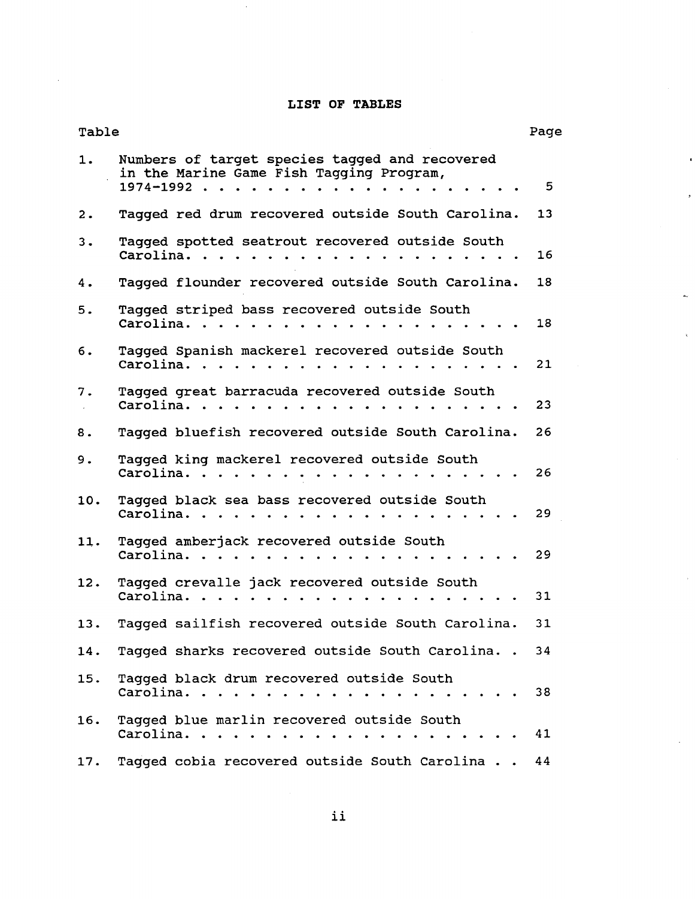## **LIST OF TABLES**

| Table          |                                                                                                         | Page |
|----------------|---------------------------------------------------------------------------------------------------------|------|
| 1.             | Numbers of target species tagged and recovered<br>in the Marine Game Fish Tagging Program,<br>1974-1992 | 5    |
| $\mathbf{2}$ . | Tagged red drum recovered outside South Carolina.                                                       | 13   |
| 3.             | Tagged spotted seatrout recovered outside South<br>Carolina                                             | 16   |
| 4.             | Tagged flounder recovered outside South Carolina.                                                       | 18   |
| 5.             | Tagged striped bass recovered outside South<br>Carolina.                                                | 18   |
| 6.             | Tagged Spanish mackerel recovered outside South<br>Carolina                                             | 21   |
| 7.             | Tagged great barracuda recovered outside South<br>Carolina.                                             | 23   |
| 8.             | Tagged bluefish recovered outside South Carolina.                                                       | 26   |
| 9.             | Tagged king mackerel recovered outside South<br>Carolina.                                               | 26   |
| 10.            | Tagged black sea bass recovered outside South<br>Carolina.                                              | 29   |
| 11.            | Tagged amberjack recovered outside South<br>Carolina.                                                   | 29   |
| 12.            | Tagged crevalle jack recovered outside South<br>Carolina.                                               | 31   |
| 13.            | Tagged sailfish recovered outside South Carolina.                                                       | 31   |
| 14.            | Tagged sharks recovered outside South Carolina. . 34                                                    |      |
| 15.            | Tagged black drum recovered outside South                                                               | 38   |
| 16.            | Tagged blue marlin recovered outside South<br>Carolina.<br>. <i>.</i><br>$\sim$ $\sim$ $\sim$ $\sim$    | 41   |
| 17.            | Tagged cobia recovered outside South Carolina                                                           | 44   |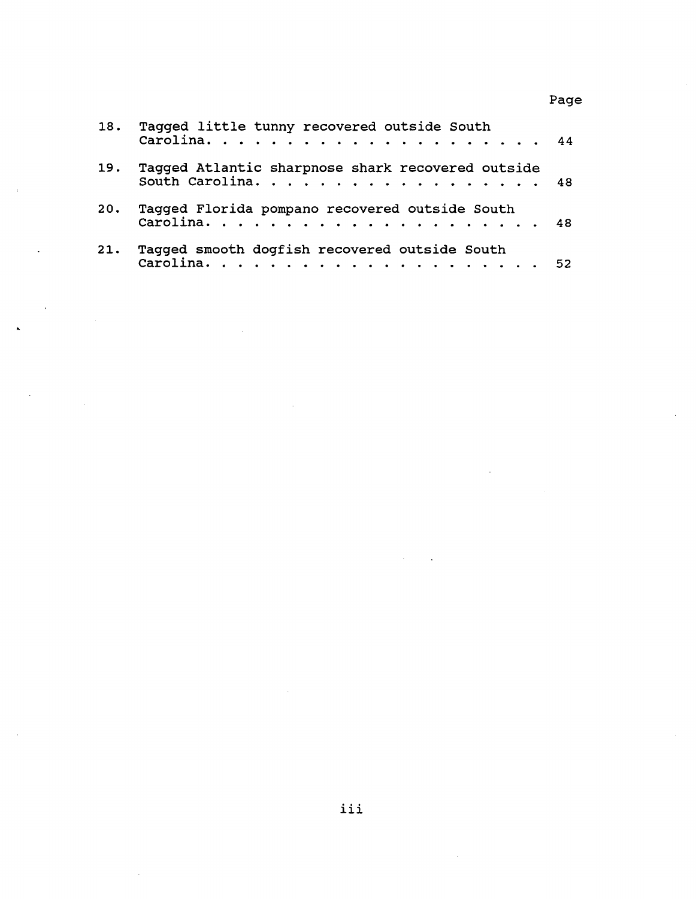18. Tagged little tunny recovered outside South **Carolina.** . . . . . . . . . . . . . . . . . 44 19. Tagged Atlantic sharpnose shark recovered outside South Carolina. . . . . . . . . . . . . . . . . . 48 20. Tagged Florida pompano recovered outside South Carolina. . . . . . . . . . . . . . . . . . . 48 21. Tagged smooth dogfish recovered outside South Carolina. . . . . . . . . . . . . . . . . . . 52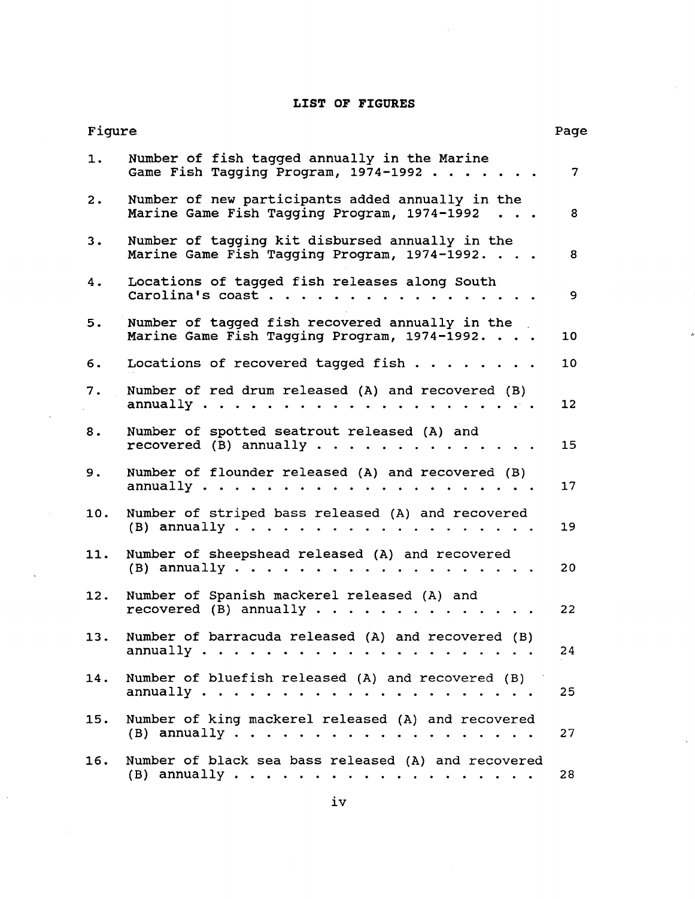## **LIST OF FIGURES**

| Figure |                                                                                                                                       | Page |
|--------|---------------------------------------------------------------------------------------------------------------------------------------|------|
| 1.     | Number of fish tagged annually in the Marine<br>Game Fish Tagging Program, 1974-1992                                                  | 7    |
| 2.     | Number of new participants added annually in the<br>Marine Game Fish Tagging Program, 1974-1992                                       | 8    |
| 3.     | Number of tagging kit disbursed annually in the<br>Marine Game Fish Tagging Program, 1974-1992.                                       | 8    |
| 4.     | Locations of tagged fish releases along South<br>Carolina's coast                                                                     | 9    |
| 5.     | Number of tagged fish recovered annually in the<br>Marine Game Fish Tagging Program, 1974-1992.                                       | 10   |
| 6.     | Locations of recovered tagged fish                                                                                                    | 10   |
| 7.     | Number of red drum released (A) and recovered (B)<br>annually $\cdots$                                                                | 12   |
| 8.     | Number of spotted seatrout released (A) and<br>recovered (B) annually $\cdots$                                                        | 15   |
| 9.     | Number of flounder released (A) and recovered (B)<br>annually $\cdots$                                                                | 17   |
| 10.    | Number of striped bass released (A) and recovered<br>(B) annually $\cdots$ $\cdots$ $\cdots$ $\cdots$                                 | 19   |
| 11.    | Number of sheepshead released (A) and recovered<br>$(B)$ annually $\cdots$ $\cdots$<br>$\mathbf{r}$ and $\mathbf{r}$ and $\mathbf{r}$ | 20   |
| 12.    | Number of Spanish mackerel released (A) and<br>recovered (B) annually.<br>and the state of the state of the                           | 22   |
| 13.    | Number of barracuda released (A) and recovered (B)                                                                                    | 24   |
| 14.    | Number of bluefish released (A) and recovered (B)                                                                                     | 25   |
| 15.    | Number of king mackerel released (A) and recovered                                                                                    | 27   |
| 16.    | Number of black sea bass released (A) and recovered                                                                                   | 28   |

 $\ddot{\phantom{a}}$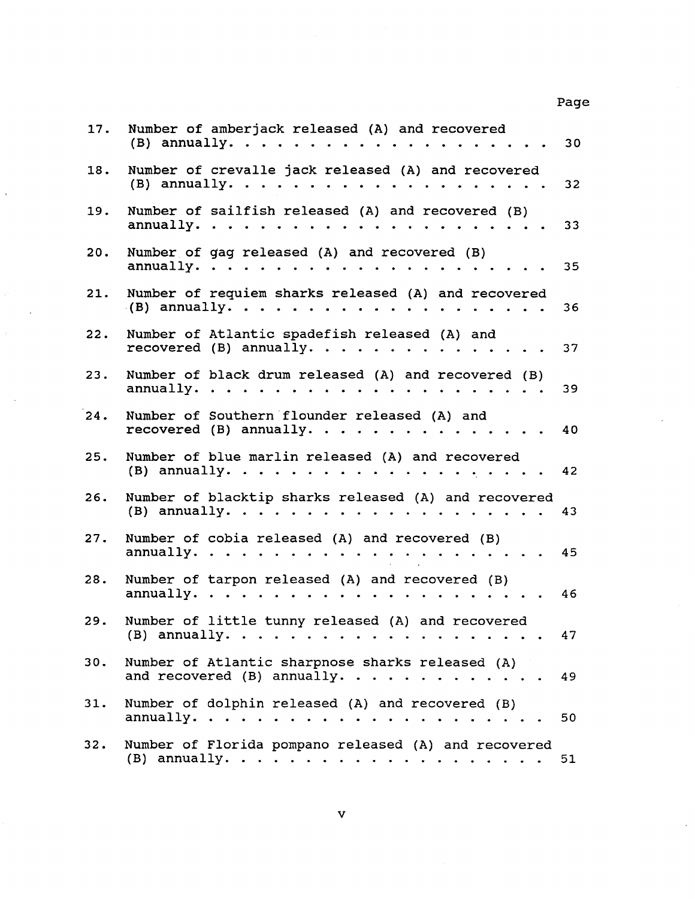Page

×,

| 17. | Number of amberjack released (A) and recovered<br>(B) annually. $\cdots$ $\cdots$ $\cdots$ $\cdots$                     | 30              |
|-----|-------------------------------------------------------------------------------------------------------------------------|-----------------|
| 18. | Number of crevalle jack released (A) and recovered<br>$(B)$ annually.                                                   | 32 <sub>2</sub> |
| 19. | Number of sailfish released (A) and recovered (B)<br>annually. $\cdots$ $\cdots$ $\cdots$ $\cdots$                      | 33              |
| 20. | Number of gag released (A) and recovered (B)<br>annually.                                                               | 35              |
| 21. | Number of requiem sharks released (A) and recovered<br>$(B)$ annually.                                                  | 36              |
| 22. | Number of Atlantic spadefish released (A) and<br>recovered (B) annually.                                                | 37              |
| 23. | Number of black drum released (A) and recovered (B)<br>annually.                                                        | 39              |
| 24. | Number of Southern flounder released (A) and<br>recovered (B) annually.                                                 | 40              |
| 25. | Number of blue marlin released (A) and recovered                                                                        | 42              |
| 26. | Number of blacktip sharks released (A) and recovered<br>(B) annually.                                                   | 43              |
| 27. | Number of cobia released (A) and recovered (B)<br>annually. $\cdots$                                                    | 45              |
| 28. | Number of tarpon released (A) and recovered (B)<br>annually. $\cdots$<br>$\mathbf{A}$ and $\mathbf{A}$ and $\mathbf{A}$ | 46              |
| 29. | Number of little tunny released (A) and recovered                                                                       | 47              |
| 30. | Number of Atlantic sharpnose sharks released (A)<br>and recovered $(B)$ annually.                                       | 49              |
| 31. | Number of dolphin released (A) and recovered (B)                                                                        | 50              |
| 32. | Number of Florida pompano released (A) and recovered                                                                    | 51              |

J.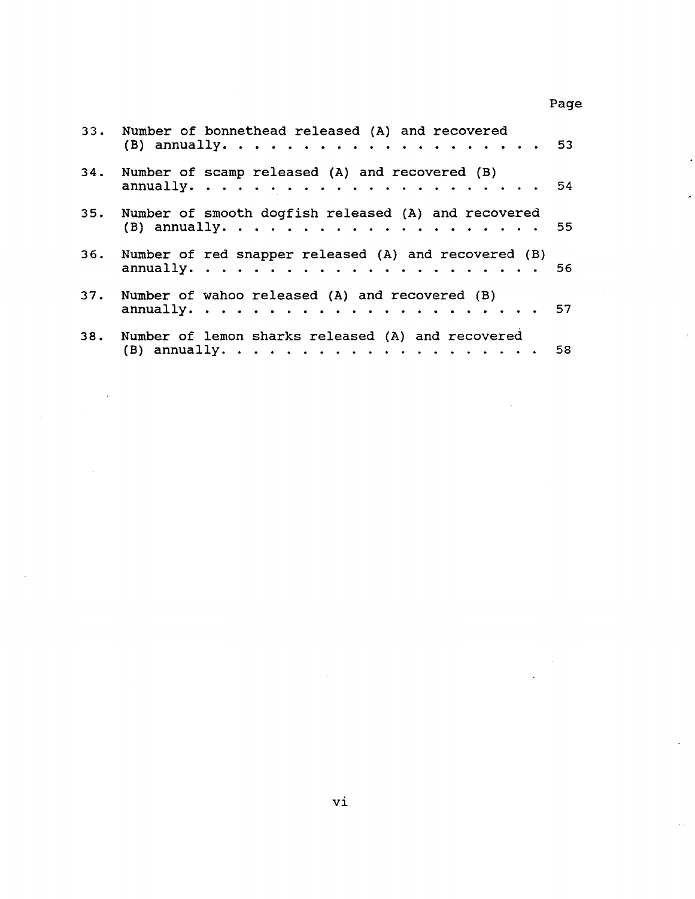33. Number of bonnethead released (A) and recovered (B) annually. . . . . . . . . . . . . . • . . . 53 34. Number of scamp released {A) and recovered (B) annually. . . . . . . . . . . . . . . . 54 35. Number of smooth dogfish released (A) and recovered {B) annually. . . . . . . . . . . . . . . . 55 36. Number of red snapper released (A) and recovered (B) **annually.** . . . . . . . . . . . . . . . . . 56 37. Number of wahoo released (A) and recovered (B) annually. . . . . . . . . . . . . . . . . . <sup>57</sup> 38. Number of lemon sharks released (A) and recovered (B) annually. . . . . . . . . . . . . . . . <sup>58</sup>

Page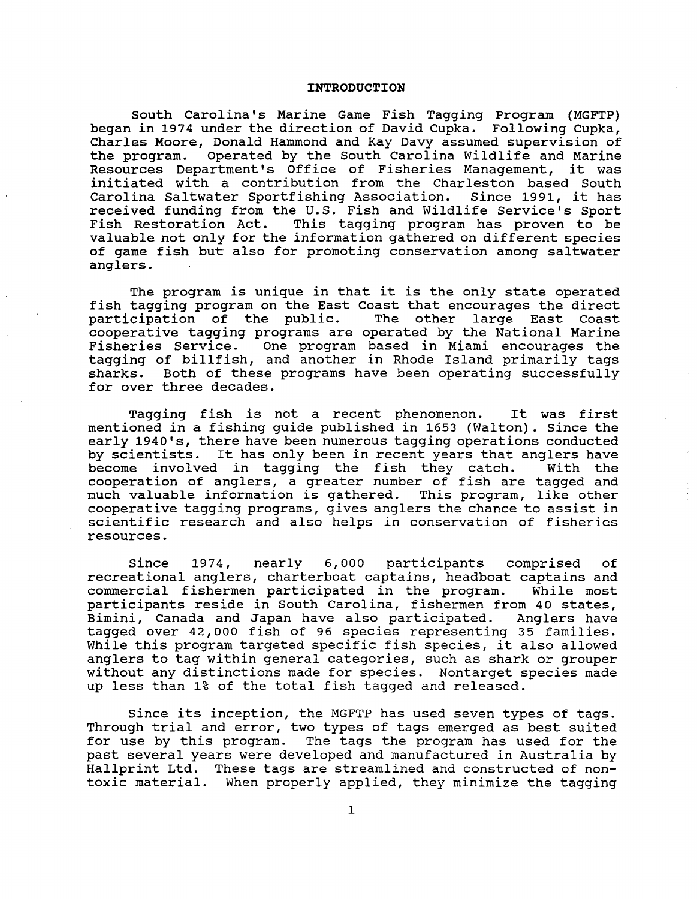### **INTRODUCTION**

South Carolina's Marine Game Fish Tagging Program (MGFTP) began in 1974 under the direction of David Cupka. Following Cupka, Charles Moore, Donald Hammond and Kay Davy assumed supervision of the program. Operated by the South Carolina Wildlife and Marine Resources Department's Office of Fisheries Management, it was initiated with a contribution from the Charleston based South<br>Carolina Saltwater Sportfishing Association. Since 1991, it has Carolina Saltwater Sportfishing Association. received funding from the U.S. Fish and Wildlife Service's Sport<br>Fish Restoration Act. This tagging program has proven to be This tagging program has proven to be valuable not only for the information gathered on different species of game fish but also for promoting conservation among saltwater anglers.

The program is unique in that it is the only state operated fish tagging program on the East Coast that encourages the direct<br>participation of the public. The other large East Coast participation of the public. cooperative tagging programs are operated by the National Marine Fisheries Service. One program based in Miami encourages the tagging of billfish, and another in Rhode Island primarily tags sharks. Both of these programs have been operating successfully for over three decades.

Tagging fish is not a recent phenomenon. It was first mentioned in a fishing guide published in 1653 (Walton) . Since the early 1940's, there have been numerous tagging operations conducted by scientists. It has only been in recent years that anglers have<br>become involved in tagging the fish they catch. With the become involved in tagging the fish they catch. cooperation of anglers, a greater number of fish are tagged and much valuable information is gathered. This program, like other cooperative tagging programs, gives anglers the chance to assist in scientific research and also helps in conservation of fisheries resources.

Since 1974, nearly 6,000 participants comprised of recreational anglers, charterboat captains, headboat captains and commercial fishermen participated in the program. While most commercial fishermen participated in the program. participants reside in South Carolina, fishermen from 40 states, Bimini, Canada and Japan have also participated. tagged over 42,000 fish of 96 species representing 35 families. While this program targeted specific fish species, it also allowed anglers to tag within general categories, such as shark or grouper without any distinctions made for species. Nontarget species made up less than 1% of the total fish tagged and released.

since its inception, the MGFTP has used seven types of tags. Through trial and error, two types of tags emerged as best suited for use by this program. The tags the program has used for the past several years were developed and manufactured in Australia by Hallprint Ltd. These tags are streamlined and constructed of nontoxic material. When properly applied, they minimize the tagging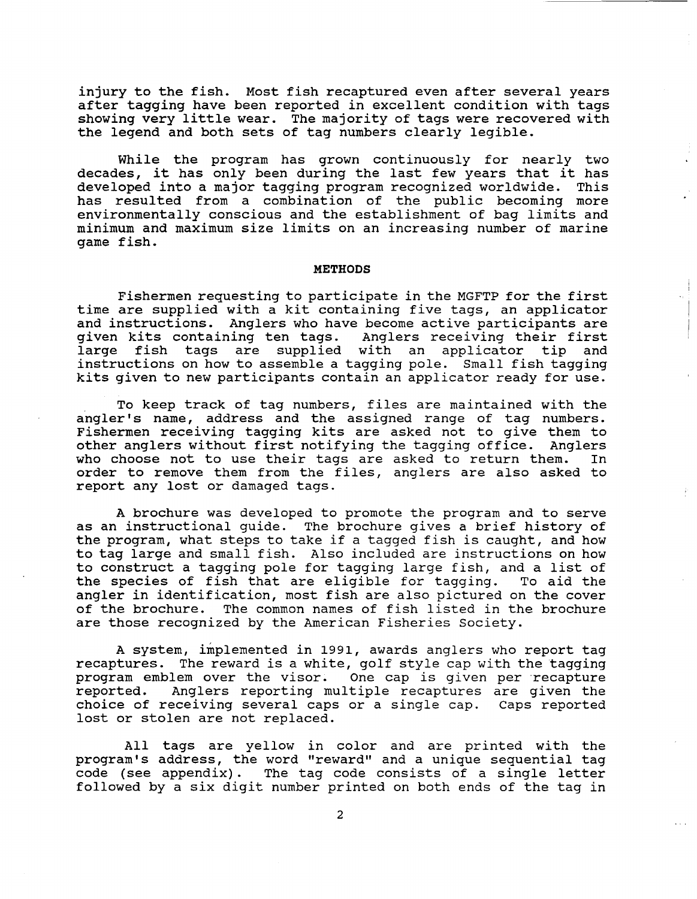injury to the fish. Most fish recaptured even after several years after tagging have been reported in excellent condition with tags showing very little wear. The majority of tags were recovered with the legend and both sets of tag numbers clearly legible.

While the program has grown continuously for nearly two decades, it has only been during the last few years that it has developed into a major tagging program recognized worldwide. This has resulted from a combination of the public becoming more environmentally conscious and the establishment of bag limits and minimum and maximum size limits on an increasing number of marine game fish.

### **METHODS**

Fishermen requesting to participate in the MGFTP for the first time are supplied with a kit containing five tags, an applicator and instructions. Anglers who have become active participants are given kits containing ten tags. Anglers receiving their first<br>large fish tags are supplied with an applicator tip and large fish tags are supplied with an applicator instructions on how to assemble a tagging pole. Small fish tagging kits given to new participants contain an applicator ready for use.

To keep track of tag numbers, files are maintained with the angler's name, address and the assigned range of tag numbers. Fishermen receiving tagging kits are asked not to give them to other anglers without first notifying the tagging office. Anglers<br>who choose not to use their tags are asked to return them. In who choose not to use their tags are asked to return them. order to remove them from the files, anglers are also asked to report any lost or damaged tags.

A brochure was developed to promote the program and to serve as an instructional guide. The brochure gives a brief history of the program, what steps to take if a tagged fish is caught, and how to tag large and small fish. Also included are instructions on how to construct a tagging pole for tagging large fish, and a list of the species of fish that are eligible for tagging. angler in identification, most fish are also pictured on the cover of the brochure. The common names of fish listed in the brochure are those recognized by the American Fisheries Society.

A system, implemented in 1991, awards anglers who report tag recaptures. The reward is a white, golf style cap with the tagging program emblem over the visor. One cap is given per recapture reported. Anglers reporting multiple recaptures are given the choice of receiving several caps or a single cap. Caps reported lost or stolen are not replaced.

All tags are yellow in color and are printed with the program's address, the word "reward" and a unique sequential tag code (see appendix). The tag code consists of a single letter followed by a six digit number printed on both ends of the tag in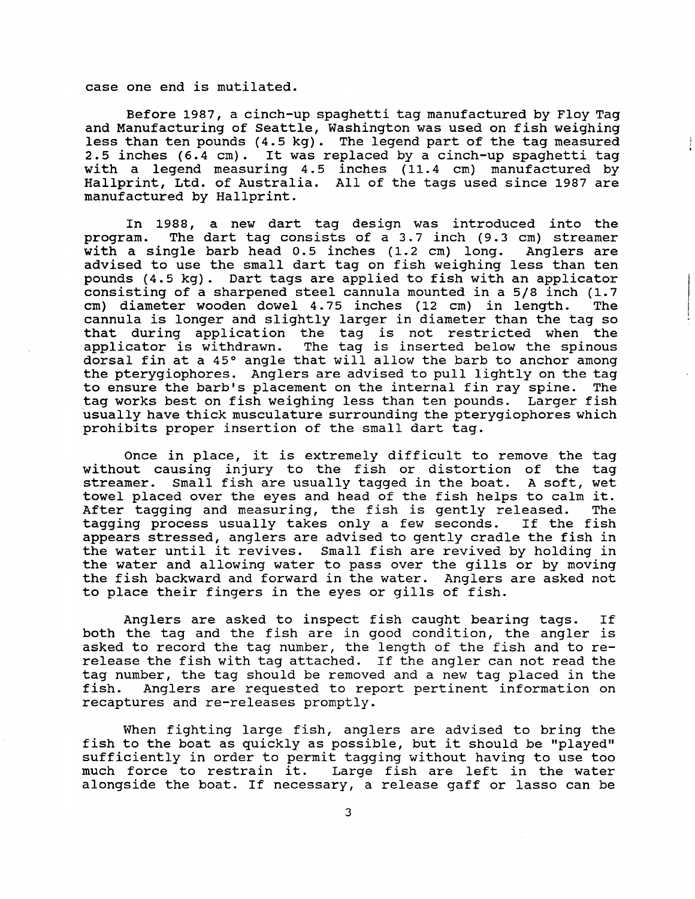case one end is mutilated.

Before 1987, a cinch-up spaghetti tag manufactured by Floy Tag and Manufacturing of seattle, Washington was used on fish weighing less than ten pounds (4.5 kg). The legend part of the tag measured 2.5 inches (6.4 em). It was replaced by a cinch-up spaghetti tag with a legend measuring 4.5 inches (11.4 cm) manufactured by Hallprint, Ltd. of Australia. All of the tags used since 1987 are manufactured by Hallprint.

In 1988, a new dart tag design was introduced into the program. The dart tag consists of a 3.7 inch (9.3 cm) streamer<br>with a single barb head 0.5 inches (1.2 cm) long. Anglers are with a single barb head  $0.5$  inches  $(1.2 \text{ cm})$  long. advised to use the small dart tag on fish weighing less than ten pounds (4.5 kg). Dart tags are applied to fish with an applicator consisting of a sharpened steel cannula mounted in a 5/8 inch (1.7 cm) diameter wooden dowel 4.75 inches (12 cm) in length. The cm) diameter wooden dowel 4.75 inches (12 cm) in length. cannula is longer and slightly larger in diameter than the tag so that during application the tag is not restricted when the<br>applicator is withdrawn. The tag is inserted below the spinous The tag is inserted below the spinous dorsal fin at a 45° angle that will allow the barb to anchor among the pterygiophores. Anglers are advised to pull lightly on the tag<br>to ensure the barb's placement on the internal fin rav spine. The to ensure the barb's placement on the internal fin ray spine. tag works best on fish weighing less than ten pounds. Larger fish usually have thick musculature surrounding the pterygiophores which prohibits proper insertion of the small dart tag.

Once in place, it is extremely difficult to remove the tag without causing injury to the fish or distortion of the tag streamer. Small fish are usually tagged in the boat. A soft, wet towel placed over the eyes and head of the fish helps to calm it. After tagging and measuring, the fish is gently released. The tagging process usually takes only a few seconds. If the fish tagging process usually takes only a few seconds. appears stressed, anglers are advised to gently cradle the fish in the water until it revives. Small fish are revived by holding in the water and allowing water to pass over the gills or by moving the fish backward and forward in the water. Anglers are asked not to place their fingers in the eyes or gills of fish.

Anglers are asked to inspect fish caught bearing tags. If both the tag and the fish are in good condition, the angler is asked to record the tag number, the length of the fish and to rerelease the fish with tag attached. If the angler can not read the tag number, the tag should be removed and a new tag placed in the fish. Anglers are requested to report pertinent information on Anglers are requested to report pertinent information on recaptures and re-releases promptly.

When fighting large fish, anglers are advised to bring the fish to the boat as quickly as possible, but it should be "played'' sufficiently in order to permit tagging without having to use too much force to restrain it. Large fish are left in the water alongside the boat. If necessary, a release gaff or lasso can be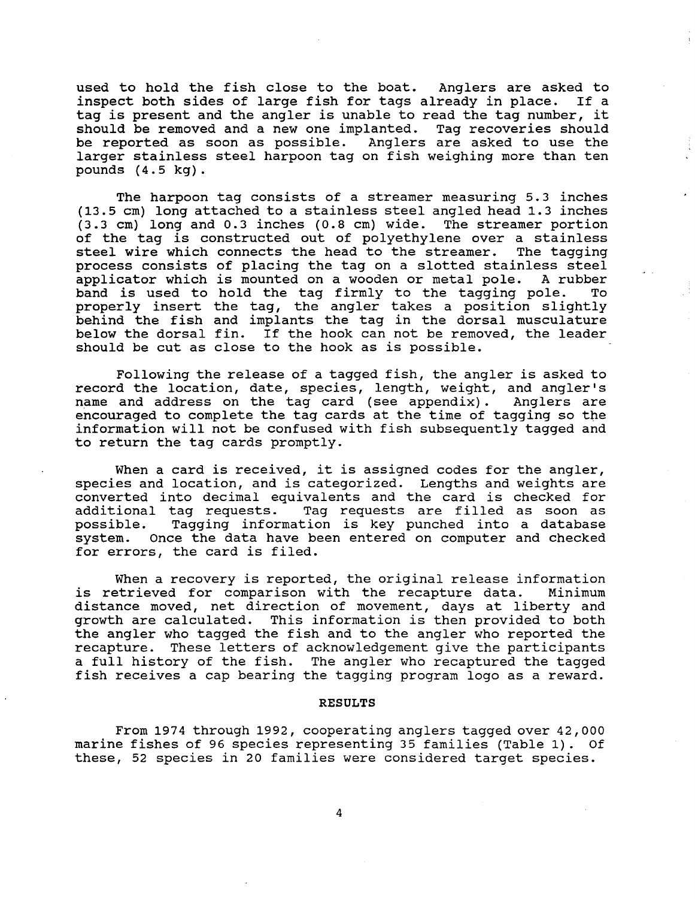used to hold the fish close to the boat. Anglers are asked to inspect both sides of large fish for tags already in place. If a tag is present and the angler is unable to read the tag number, it should be removed and a new one implanted. Tag recoveries should be reported as soon as possible. Anglers are asked to use the larger stainless steel harpoon tag on fish weighing more than ten pounds (4.5 kg).

The harpoon tag consists of a streamer measuring 5.3 inches (13.5 em) long attached to a stainless steel angled head 1.3 inches (3.3 em) long and 0.3 inches (0.8 em) wide. The streamer portion of the tag is constructed out of polyethylene over a stainless<br>steel wire which connects the head to the streamer. The tagging steel wire which connects the head to the streamer. process consists of placing the tag on a slotted stainless steel<br>applicator which is mounted on a wooden or metal pole. A rubber applicator which is mounted on a wooden or metal pole. band is used to hold the tag firmly to the tagging pole. To properly insert the tag, the angler takes a position slightly behind the fish and implants the tag in the dorsal musculature below the dorsal fin. If the hook can not be removed, the leader should be cut as close to the hook as is possible.

Following the release of a tagged fish, the angler is asked to record the location, date, species, length, weight, and angler's name and address on the tag card (see appendix) . Anglers are encouraged to complete the tag cards at the time of tagging so the information will not be confused with fish subsequently tagged and to return the tag cards promptly.

When a card is received, it is assigned codes for the angler, species and location, and is categorized. Lengths and weights are converted into decimal equivalents and the card is checked for additional tag requests. Tag requests are filled as soon as possible. Tagging information is key punched into a database possible. Tagging information is key punched into a database<br>system. Once the data have been entered on computer and checked once the data have been entered on computer and checked for errors, the card is filed.

When a recovery is reported, the original release information<br>etrieved for comparison with the recapture data. Minimum is retrieved for comparison with the recapture data. distance moved, net direction of movement, days at liberty and growth are calculated. This information is then provided to both the angler who tagged the fish and to the angler who reported the recapture. These letters of acknowledgement give the participants a full history of the fish. The angler who recaptured the tagged fish receives a cap bearing the tagging program logo as a reward.

### RESULTS

From 1974 through 1992, cooperating anglers tagged over 42,000 marine fishes of 96 species representing 35 families (Table 1) . Of these, 52 species in 20 families were considered target species.

4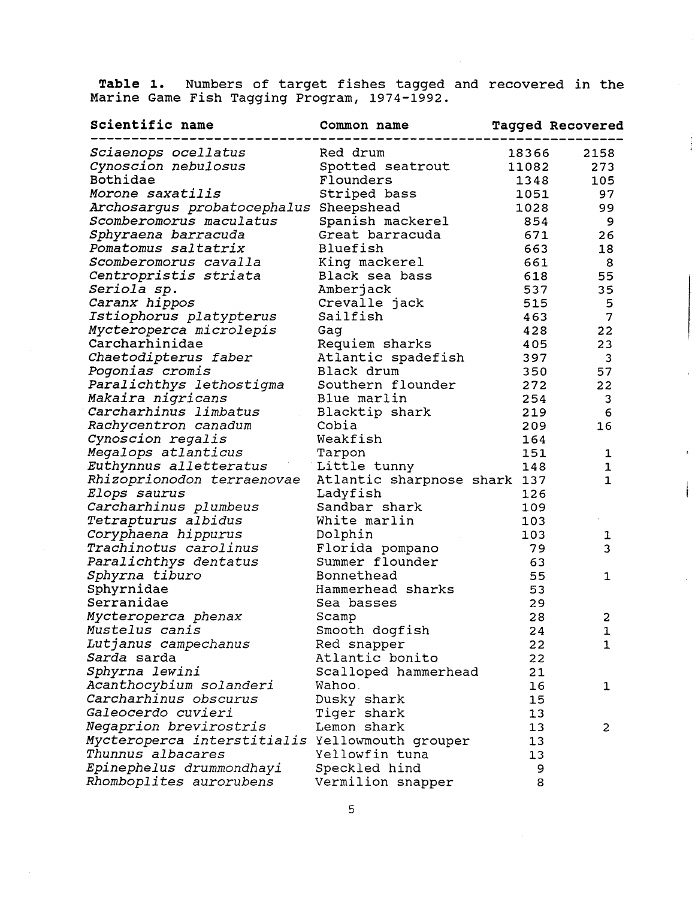**Table 1.** Numbers of target fishes tagged and recovered in the Marine Game Fish Tagging Program, 1974-1992.

 $\frac{1}{2}$ 

| Scientific name                                 | Common name                  |       | <b>Tagged Recovered</b> |
|-------------------------------------------------|------------------------------|-------|-------------------------|
| Sciaenops ocellatus                             | Red drum                     | 18366 | 2158                    |
| Cynoscion nebulosus                             | Spotted seatrout             | 11082 | 273                     |
| Bothidae                                        | Flounders                    | 1348  | 105                     |
| Morone saxatilis                                | Striped bass                 | 1051  | 97                      |
| Archosargus probatocephalus                     | Sheepshead                   | 1028  | 99                      |
| Scomberomorus maculatus                         | Spanish mackerel             | 854   | 9                       |
| Sphyraena barracuda                             | Great barracuda              | 671   | 26                      |
| Pomatomus saltatrix                             | Bluefish                     | 663   | 18                      |
| Scomberomorus cavalla                           | King mackerel                | 661   | 8                       |
| Centropristis striata                           | Black sea bass               | 618   | 55                      |
| Seriola sp.                                     | Amberjack                    | 537   | 35                      |
| Caranx hippos                                   | Crevalle jack                | 515   | 5                       |
| Istiophorus platypterus                         | Sailfish                     | 463   | 7                       |
| Mycteroperca microlepis                         | Gag                          | 428   | 22                      |
| Carcharhinidae                                  | Requiem sharks               | 405   | 23                      |
| Chaetodipterus faber                            | Atlantic spadefish           | 397   | 3                       |
| Pogonias cromis                                 | Black drum                   | 350   | 57                      |
| Paralichthys lethostigma                        | Southern flounder            | 272   | 22                      |
| Makaira nigricans                               | Blue marlin                  | 254   | 3                       |
| Carcharhinus limbatus                           | Blacktip shark               | 219   | 6                       |
| Rachycentron canadum                            | Cobia                        | 209   | 16                      |
| Cynoscion regalis                               | Weakfish                     | 164   |                         |
| Megalops atlanticus                             | Tarpon                       | 151   | 1                       |
| Euthynnus alletteratus                          | Little tunny                 | 148   | 1                       |
| Rhizoprionodon terraenovae                      | Atlantic sharpnose shark 137 |       | 1                       |
| <i>Elops saurus</i>                             | Ladyfish                     | 126   |                         |
| Carcharhinus plumbeus                           | Sandbar shark                | 109   |                         |
| Tetrapturus albidus                             | White marlin                 | 103   |                         |
| Coryphaena hippurus                             | Dolphin                      | 103   | ı                       |
| <i>Trachinotus carolinus</i>                    | Florida pompano              | 79    | 3                       |
| Paralichthys dentatus                           | Summer flounder              | 63    |                         |
| Sphyrna tiburo                                  | Bonnethead                   | 55    | 1                       |
| Sphyrnidae                                      | Hammerhead sharks            | 53    |                         |
| Serranidae                                      | Sea basses                   | 29    |                         |
| Mycteroperca phenax                             | Scamp                        | 28    | $\overline{\mathbf{c}}$ |
| Mustelus canis                                  | Smooth dogfish               | 24    | $\mathbf{1}$            |
| Lutjanus campechanus                            | Red snapper                  | 22    | $\mathbf{1}$            |
| Sarda sarda                                     | Atlantic bonito              | 22    |                         |
| Sphyrna lewini                                  | Scalloped hammerhead         | 21    |                         |
| Acanthocybium solanderi                         | Wahoo.                       | 16    | 1                       |
| Carcharhinus obscurus                           | Dusky shark                  | 15    |                         |
| Galeocerdo cuvieri                              | Tiger shark                  | 13    |                         |
| <i>Negaprion brevirostris</i>                   | Lemon shark                  | 13    | 2                       |
| Mycteroperca interstitialis Yellowmouth grouper |                              | 13    |                         |
| Thunnus albacares                               | Yellowfin tuna               | 13    |                         |
| Epinephelus drummondhayi                        | Speckled hind                | 9     |                         |
| Rhomboplites aurorubens                         | Vermilion snapper            | 8     |                         |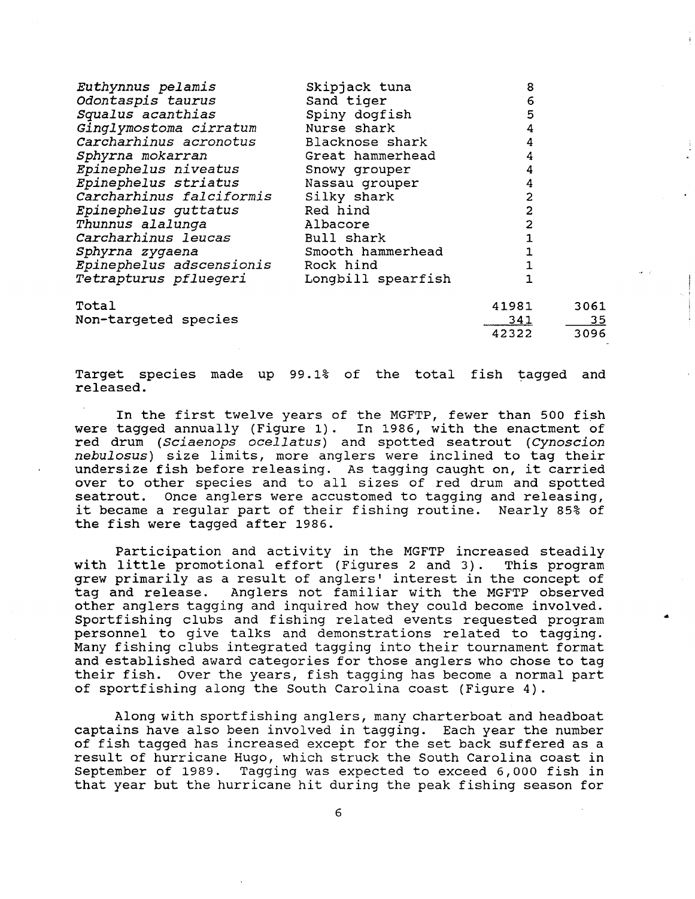| Euthynnus pelamis               | Skipjack tuna      | 8          |           |
|---------------------------------|--------------------|------------|-----------|
| Odontaspis taurus               | Sand tiger         | 6          |           |
| Squalus acanthias               | Spiny dogfish      | 5          |           |
| Ginglymostoma cirratum          | Nurse shark        | 4          |           |
| Carcharhinus acronotus          | Blacknose shark    | 4          |           |
| Sphyrna mokarran                | Great hammerhead   | 4          |           |
| Epinephelus niveatus            | Snowy grouper      | 4          |           |
| Epinephelus striatus            | Nassau grouper     | 4          |           |
| Carcharhinus falciformis        | Silky shark        | 2          |           |
| Epinephelus guttatus            | Red hind           | 2          |           |
| Thunnus alalunga                | Albacore           | 2          |           |
| Carcharhinus leucas             | Bull shark         |            |           |
| Sphyrna zygaena                 | Smooth hammerhead  |            |           |
| <i>Epinephelus adscensionis</i> | Rock hind          |            |           |
| Tetrapturus pfluegeri           | Longbill spearfish |            |           |
| Total                           |                    | 41981      | 3061      |
| Non-targeted species            |                    | <u>341</u> | <u>35</u> |
|                                 |                    | 42322      | 3096      |

Target species made up 99.1% of the total fish tagged and released.

In the first twelve years of the MGFTP, fewer than 500 fish were tagged annually (Figure 1). In 1986, with the enactment of red drum *(Sciaenops ocellatus)* and spotted seatrout *(Cynoscion nebulosus)* size limits, more anglers were inclined to tag their undersize fish before releasing. As tagging caught on, it carried over to other species and to all sizes of red drum and spotted seatrout. Once anglers were accustomed to tagging and releasing, it became a regular part of their fishing routine. Nearly 85% of the fish were tagged after 1986.

Participation and activity in the MGFTP increased steadily<br>little promotional effort (Figures 2 and 3). This program with little promotional effort (Figures 2 and 3). grew primarily as a result of anglers' interest in the concept of<br>tag and release. Anglers not familiar with the MGFTP observed Anglers not familiar with the MGFTP observed other anglers tagging and inquired how they could become involved. Sportfishing clubs and fishing related events requested program personnel to give talks and demonstrations related to tagging. Many fishing clubs integrated tagging into their tournament format and established award categories for those anglers who chose to tag their fish. Over the years, fish tagging has become a normal part of sportfishing along the South Carolina coast (Figure 4).

Along with sportfishing anglers, many charterboat and headboat captains have also been involved in tagging. Each year the number of fish tagged has increased except for the set back suffered as a result of hurricane Hugo, which struck the South Carolina coast in<br>September of 1989. Tagging was expected to exceed 6,000 fish in Tagging was expected to exceed 6,000 fish in that year but the hurricane hit during the peak fishing season for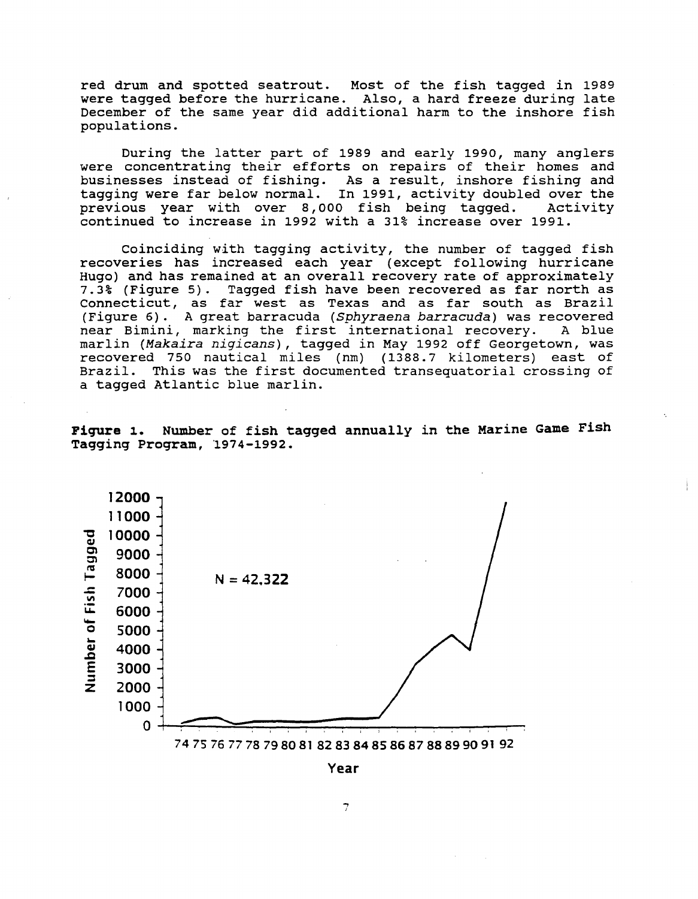red drum and spotted seatrout. Most of the fish tagged in 1989 red drum dha spected seatrear. Also, a hard freeze during late December of the same year did additional harm to the inshore fish populations.

During the latter part of 1989 and early 1990, many anglers were concentrating their efforts on repairs of their homes and businesses instead of fishing. As a result, inshore fishing and tagging were far below normal. In 1991, activity doubled over the previous year with over 8,000 fish being tagged. Activity continued to increase in 1992 with a 31% increase over 1991.

Coinciding with tagging activity, the number of tagged fish recoveries has increased each year (except following hurricane Hugo) and has remained at an overall recovery rate of approximately 7.3% (Figure 5). Tagged fish have been recovered as far north as Connecticut, as far west as Texas and as far south as Brazil (Figure 6). A great barracuda *(Sphyraena barracuda)* was recovered near Bimini, marking the first international recovery. marlin *(Makaira nigicans),* tagged in May 1992 off Georgetown, was recovered 750 nautical miles (nm) (1388.7 kilometers) east of Brazil. This was the first documented transequatorial crossing of a tagged Atlantic blue marlin.

Fiqure 1. Number of fish tagged annually in the Marine Game Fish Tagging Program, 1974-1992.



Year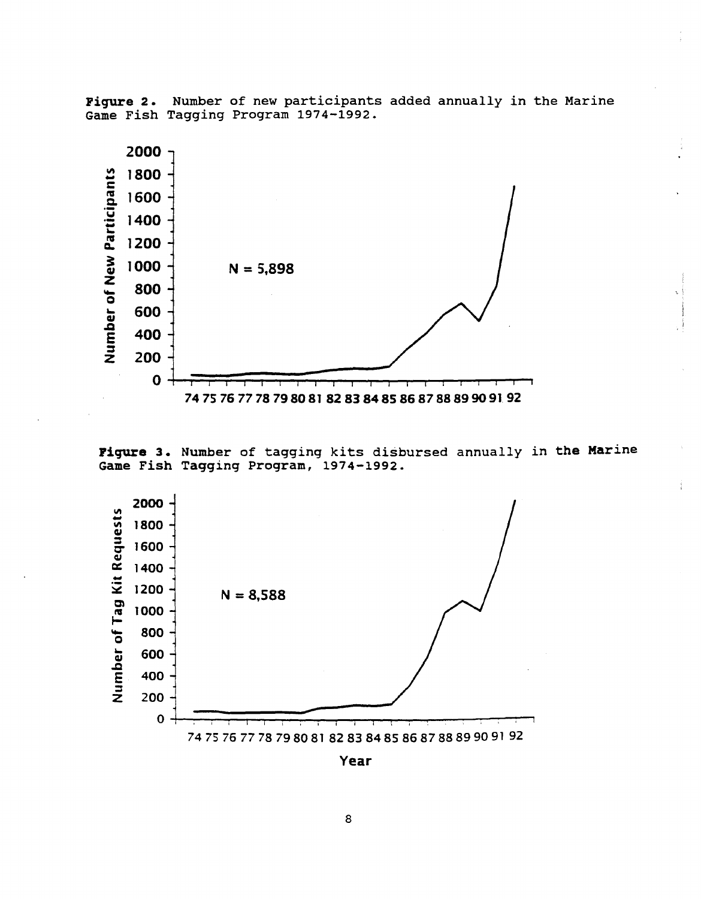Number of new participants added annually in the Marine Figure 2. Game Fish Tagging Program 1974-1992.



Figure 3. Number of tagging kits disbursed annually in the Marine Game Fish Tagging Program, 1974-1992.



Year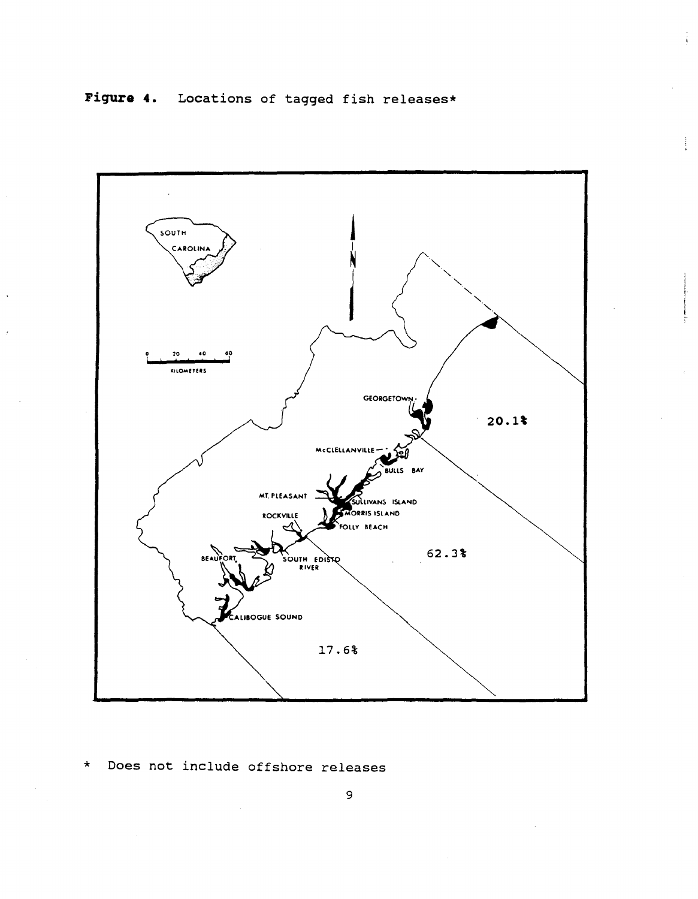

Does not include offshore releases  $\star$ 

## 9

# Figure 4. Locations of tagged fish releases\*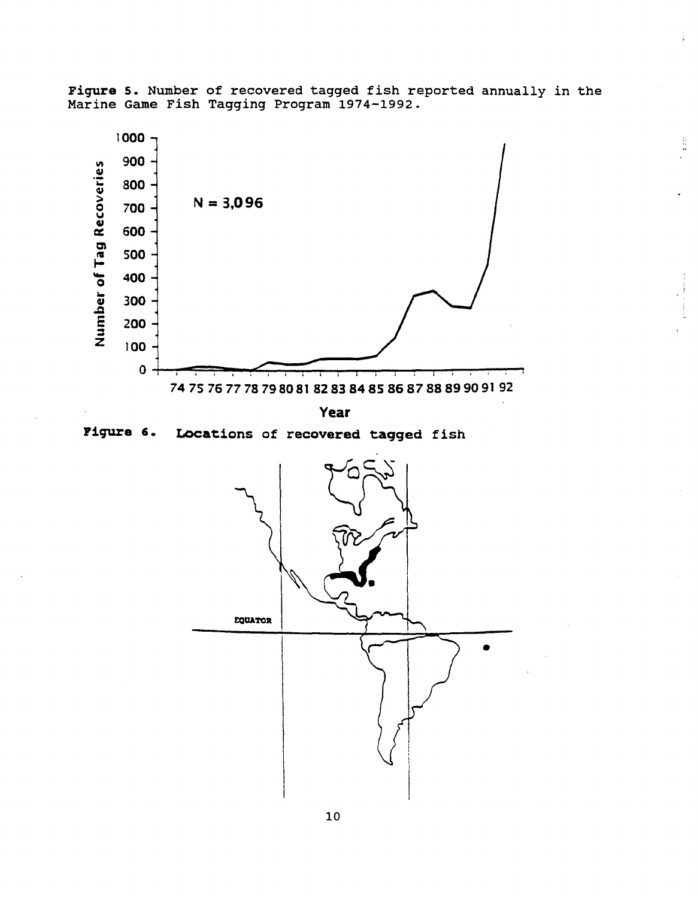

i<br>K



**Year** 

Figure 6.

Locations of recovered tagged fish

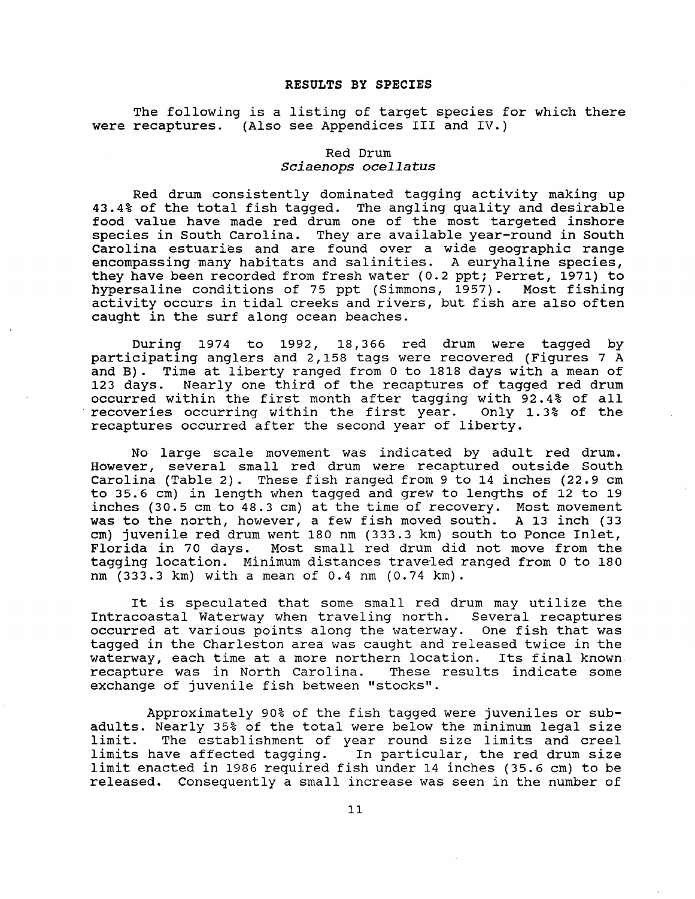#### **RESULTS BY SPECIES**

The following is a listing of target species for which there were recaptures. (Also see Appendices III and IV.)

### Red Drum *Sciaenops ocellarus*

Red drum consistently dominated tagging activity making up 43.4% of the total fish tagged. The angling quality and desirable food value have made red drum one of the most targeted inshore species in South Carolina. They are available year-round in South Carolina estuaries and are found over a wide geographic range encompassing many habitats and salinities. A euryhaline species, they have been recorded from fresh water (0.2 ppt; Perret, 1971) to hypersaline conditions of 75 ppt {Simmons, 1957). Most fishing activity occurs in tidal creeks and rivers, but fish are also often caught in the surf along ocean beaches.

During 1974 to 1992, 18,366 red drum were tagged by participating anglers and 2,158 tags were recovered (Figures 7 A and B) . Time at liberty ranged from 0 to 1818 days with a mean of 123 days. Nearly one third of the recaptures of tagged red drum occurred within the first month after tagging with 92.4% of all recoveries occurring within the first year. Only 1. 3% of the recaptures occurred after the second year of liberty.

No large scale movement was indicated by adult red drum. However, several small red drum were recaptured outside South Carolina (Table 2). These fish ranged from 9 to 14 inches (22.9 cm to 35.6 em) in length when tagged and grew to lengths of 12 to 19 inches (30.5 cm to 48.3 cm) at the time of recovery. Most movement was to the north, however, a few fish moved south. A 13 inch {33 em) juvenile red drum went 180 nm (333.3 km) south to Ponce Inlet, Florida in 70 days. Most small red drum did not move from the tagging location. Minimum distances traveled ranged from 0 to 180 nm (333.3 km) with a mean of 0.4 nm (0.74 km).

It is speculated that some small red drum may utilize the Intracoastal Waterway when traveling north. Several recaptures occurred at various points along the waterway. One fish that was tagged in the Charleston area was caught and released twice in the waterway, each time at a more northern location. Its final known recapture was in North Carolina. These results indicate some exchange of juvenile fish between "stocks".

Approximately 90% of the fish tagged were juveniles or subadults. Nearly 35% of the total were below the minimum legal size The establishment of year round size limits and creel limits have affected tagging. In particular, the red drum size limit enacted in 1986 required fish under 14 inches (35.6 cm) to be released. Consequently a small increase was seen in the number of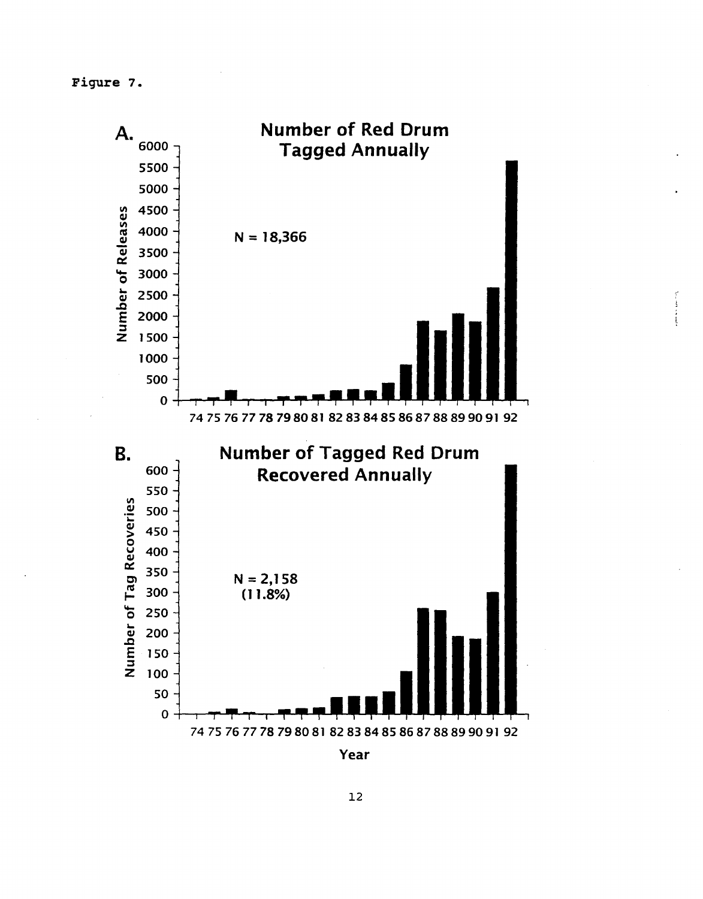Figure 7.



 $\frac{1}{2} \sum_{i=1}^{n} \frac{1}{2} \left( \frac{1}{2} \sum_{i=1}^{n} \frac{1}{2} \sum_{i=1}^{n} \frac{1}{2} \sum_{i=1}^{n} \frac{1}{2} \sum_{i=1}^{n} \frac{1}{2} \sum_{i=1}^{n} \frac{1}{2} \sum_{i=1}^{n} \frac{1}{2} \sum_{i=1}^{n} \frac{1}{2} \sum_{i=1}^{n} \frac{1}{2} \sum_{i=1}^{n} \frac{1}{2} \sum_{i=1}^{n} \frac{1}{2} \sum_{i=1}^{n} \frac{1}{2$ 

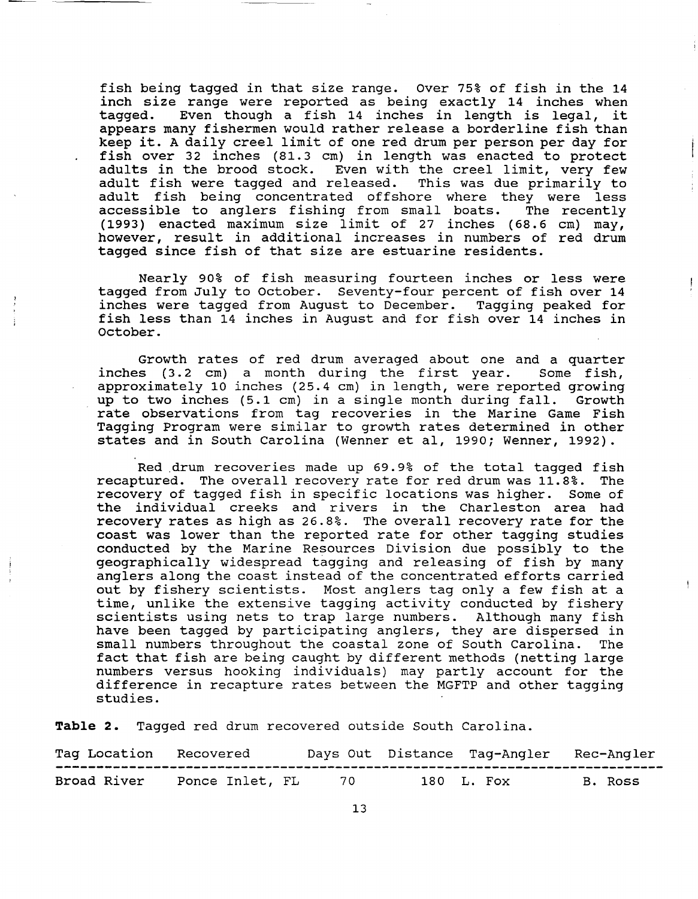fish being tagged in that size range. over 75% of fish in the 14 inch size range were reported as being exactly 14 inches when<br>tagged. Even though a fish 14 inches in length is legal, it Even though a fish 14 inches in length is legal, it appears many fishermen would rather release a borderline fish than keep it. A daily creel limit of one red drum per person per day for fish over 32 inches (81.3 em) in length was enacted to protect adults in the brood stock. Even with the creel limit, very few adult fish were tagged and released. This was due primarily to adult fish being concentrated offshore where they were less<br>accessible to anglers fishing from small boats. The recently accessible to anglers fishing from small boats. ( 1993) enacted maximum size limit of 27 inches ( 68. 6 em) may, however, result in additional increases in numbers of red drum tagged since fish of that size are estuarine residents.

Nearly 90% of fish measuring fourteen inches or less were tagged from July to October. Seventy-four percent of fish over 14 inches were tagged from August to December. Tagging peaked for fish less than 14 inches in August and for fish over 14 inches in October.

Growth rates of red drum averaged about one and a quarter inches (3.2 em) a month during the first year. Some fish, approximately 10 inches (25.4 em) in length, were reported growing up to two inches (5.1 em) in a single month during fall. Growth rate observations from tag recoveries in the Marine Game Fish Tagging Program were similar to growth rates determined in other states and in South Carolina (Wenner et al, 1990; Wenner, 1992).

Red .drum recoveries made up 69.9% of the total tagged fish recaptured. The overall recovery rate for red drum was 11.8%. The recovery of tagged fish in specific locations was higher. Some of the individual creeks and rivers in the Charleston area had recovery rates as high as 26.8%. The overall recovery rate for the coast was lower than the reported rate for other tagging studies conducted by the Marine Resources Division due possibly to the geographically widespread tagging and releasing of fish by many anglers along the coast instead of the concentrated efforts carried out by fishery scientists. Most anglers tag only a few fish at a time, unlike the extensive tagging activity conducted by fishery<br>scientists using nets to trap large numbers. Although many fish scientists using nets to trap large numbers. have been tagged by participating anglers, they are dispersed in small numbers throughout the coastal zone of South Carolina. The fact that fish are being caught by different methods (netting large numbers versus hooking individuals) may partly account for the difference in recapture rates between the MGFTP and other tagging studies.

**Table** 2. Tagged red drum recovered outside south Carolina.

| Tag Location Recovered |                 |     | Days Out Distance Tag-Angler Rec-Angler |         |
|------------------------|-----------------|-----|-----------------------------------------|---------|
| Broad River            | Ponce Inlet, FL | 70. | 180 L. Fox                              | B. Ross |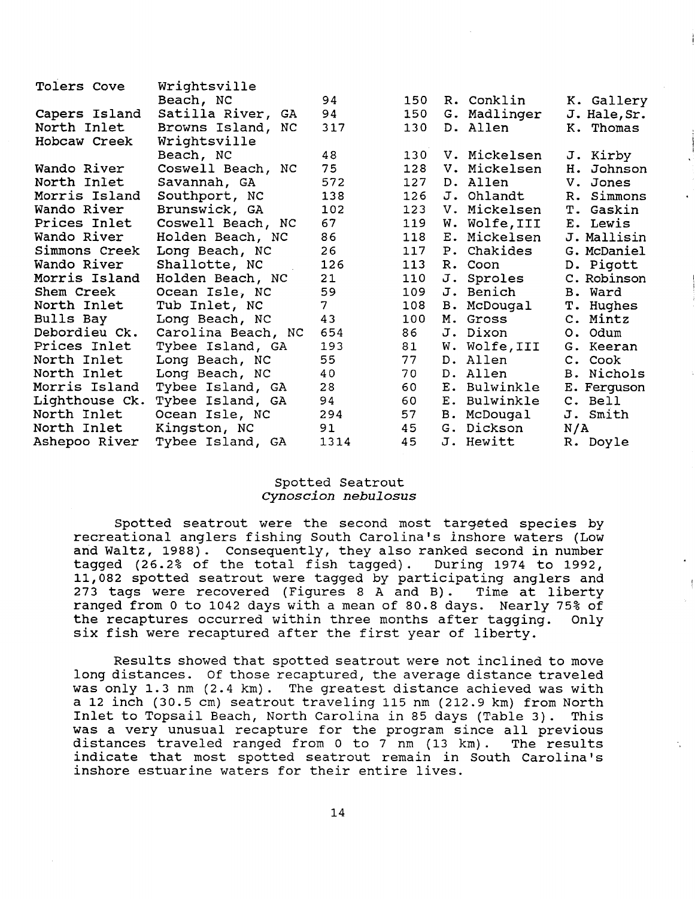| Beach, NC         | 94                                                                                                                                                                                                                                                                                                                                                          | 150                                                   |                                    | K. Gallery                                                                                                                                                                                                                                                                                                                                                       |
|-------------------|-------------------------------------------------------------------------------------------------------------------------------------------------------------------------------------------------------------------------------------------------------------------------------------------------------------------------------------------------------------|-------------------------------------------------------|------------------------------------|------------------------------------------------------------------------------------------------------------------------------------------------------------------------------------------------------------------------------------------------------------------------------------------------------------------------------------------------------------------|
| Satilla River, GA | 94                                                                                                                                                                                                                                                                                                                                                          | 150                                                   |                                    | J. Hale, Sr.                                                                                                                                                                                                                                                                                                                                                     |
| Browns Island, NC | 317                                                                                                                                                                                                                                                                                                                                                         | 130                                                   |                                    | K. Thomas                                                                                                                                                                                                                                                                                                                                                        |
| Wrightsville      |                                                                                                                                                                                                                                                                                                                                                             |                                                       |                                    |                                                                                                                                                                                                                                                                                                                                                                  |
| Beach, NC         | 48                                                                                                                                                                                                                                                                                                                                                          | 130                                                   |                                    | J. Kirby                                                                                                                                                                                                                                                                                                                                                         |
| Coswell Beach, NC | 75                                                                                                                                                                                                                                                                                                                                                          | 128                                                   |                                    | Johnson<br>H.                                                                                                                                                                                                                                                                                                                                                    |
| Savannah, GA      | 572                                                                                                                                                                                                                                                                                                                                                         | 127                                                   |                                    | V. Jones                                                                                                                                                                                                                                                                                                                                                         |
|                   | 138                                                                                                                                                                                                                                                                                                                                                         | 126                                                   |                                    | R. Simmons                                                                                                                                                                                                                                                                                                                                                       |
|                   | 102                                                                                                                                                                                                                                                                                                                                                         | 123                                                   |                                    | T. Gaskin                                                                                                                                                                                                                                                                                                                                                        |
|                   |                                                                                                                                                                                                                                                                                                                                                             | 119                                                   |                                    | E. Lewis                                                                                                                                                                                                                                                                                                                                                         |
|                   | 86                                                                                                                                                                                                                                                                                                                                                          | 118                                                   |                                    | J. Mallisin                                                                                                                                                                                                                                                                                                                                                      |
|                   |                                                                                                                                                                                                                                                                                                                                                             |                                                       |                                    | G. McDaniel                                                                                                                                                                                                                                                                                                                                                      |
|                   | 126                                                                                                                                                                                                                                                                                                                                                         | 113                                                   |                                    | D. Pigott                                                                                                                                                                                                                                                                                                                                                        |
|                   | 21                                                                                                                                                                                                                                                                                                                                                          |                                                       |                                    | C. Robinson                                                                                                                                                                                                                                                                                                                                                      |
|                   | 59                                                                                                                                                                                                                                                                                                                                                          | 109                                                   |                                    | B. Ward                                                                                                                                                                                                                                                                                                                                                          |
|                   |                                                                                                                                                                                                                                                                                                                                                             | 108                                                   |                                    | T. Hughes                                                                                                                                                                                                                                                                                                                                                        |
|                   |                                                                                                                                                                                                                                                                                                                                                             | 100                                                   |                                    | C. Mintz                                                                                                                                                                                                                                                                                                                                                         |
|                   |                                                                                                                                                                                                                                                                                                                                                             | 86                                                    |                                    | O. Odum                                                                                                                                                                                                                                                                                                                                                          |
|                   |                                                                                                                                                                                                                                                                                                                                                             |                                                       |                                    | G. Keeran                                                                                                                                                                                                                                                                                                                                                        |
|                   |                                                                                                                                                                                                                                                                                                                                                             |                                                       |                                    | C. Cook                                                                                                                                                                                                                                                                                                                                                          |
|                   | 40                                                                                                                                                                                                                                                                                                                                                          | 70                                                    |                                    | B. Nichols                                                                                                                                                                                                                                                                                                                                                       |
|                   |                                                                                                                                                                                                                                                                                                                                                             | 60                                                    |                                    | E. Ferguson                                                                                                                                                                                                                                                                                                                                                      |
|                   | 94                                                                                                                                                                                                                                                                                                                                                          | 60                                                    |                                    | C. Bell                                                                                                                                                                                                                                                                                                                                                          |
|                   | 294                                                                                                                                                                                                                                                                                                                                                         | 57                                                    |                                    | J. Smith                                                                                                                                                                                                                                                                                                                                                         |
|                   | 91                                                                                                                                                                                                                                                                                                                                                          |                                                       |                                    | N/A                                                                                                                                                                                                                                                                                                                                                              |
| Tybee Island, GA  |                                                                                                                                                                                                                                                                                                                                                             |                                                       |                                    | R. Doyle                                                                                                                                                                                                                                                                                                                                                         |
|                   | Wrightsville<br>Southport, NC<br>Brunswick, GA<br>Coswell Beach, NC<br>Holden Beach, NC<br>Long Beach, NC<br>Shallotte, NC<br>Holden Beach, NC<br>Ocean Isle, NC<br>Tub Inlet, NC<br>Long Beach, NC<br>Carolina Beach, NC<br>Tybee Island, GA<br>Long Beach, NC<br>Long Beach, NC<br>Tybee Island, GA<br>Tybee Island, GA<br>Ocean Isle, NC<br>Kingston, NC | 67<br>26<br>7<br>43<br>654<br>193<br>55<br>28<br>1314 | 117<br>110<br>81<br>77<br>45<br>45 | R. Conklin<br>G. Madlinger<br>D. Allen<br>V. Mickelsen<br>V. Mickelsen<br>D. Allen<br>J. Ohlandt<br>V. Mickelsen<br>W. Wolfe, III<br>E. Mickelsen<br>P. Chakides<br>R. Coon<br>J. Sproles<br>J. Benich<br>B. McDougal<br>M. Gross<br>J. Dixon<br>W. Wolfe, III<br>D. Allen<br>D. Allen<br>E. Bulwinkle<br>E. Bulwinkle<br>B. McDougal<br>G. Dickson<br>J. Hewitt |

## Spotted Seatrout *cynoscion nebulosus*

Spotted seatrout were the second most targeted species by recreational anglers fishing South Carolina's inshore waters (Low and Waltz, 1988). Consequently, they also ranked second in number<br>tagged (26.2% of the total fish tagged). During 1974 to 1992, tagged (26.2% of the total fish tagged). 11,082 spotted seatrout were tagged by participating anglers and 273 tags were recovered (Figures 8 A and B). Time at liberty ranged from o to 1042 days with a mean of 80.8 days. Nearly 75% of the recaptures occurred within three months after tagging. Only six fish were recaptured after the first year of liberty.

Results showed that spotted seatrout were not inclined to move long distances. Of those recaptured, the average distance traveled was only 1.3 nm (2.4 km). The greatest distance achieved was with a 12 inch (30.5 cm) seatrout traveling 115 nm (212.9 km) from North<br>Inlet to Topsail Beach, North Carolina in 85 days (Table 3). This Inlet to Topsail Beach, North Carolina in 85 days (Table 3). was a very unusual recapture for the program since all previous distances traveled ranged from 0 to 7 nm (13 km). The results indicate that most spotted seatrout remain in South Carolina's inshore estuarine waters for their entire lives.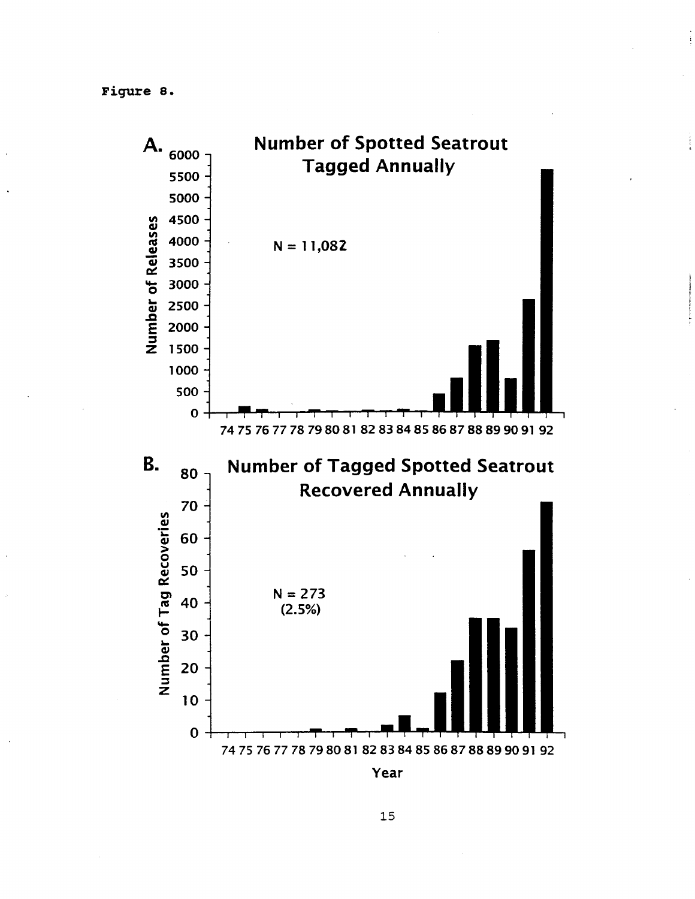Figure 8.



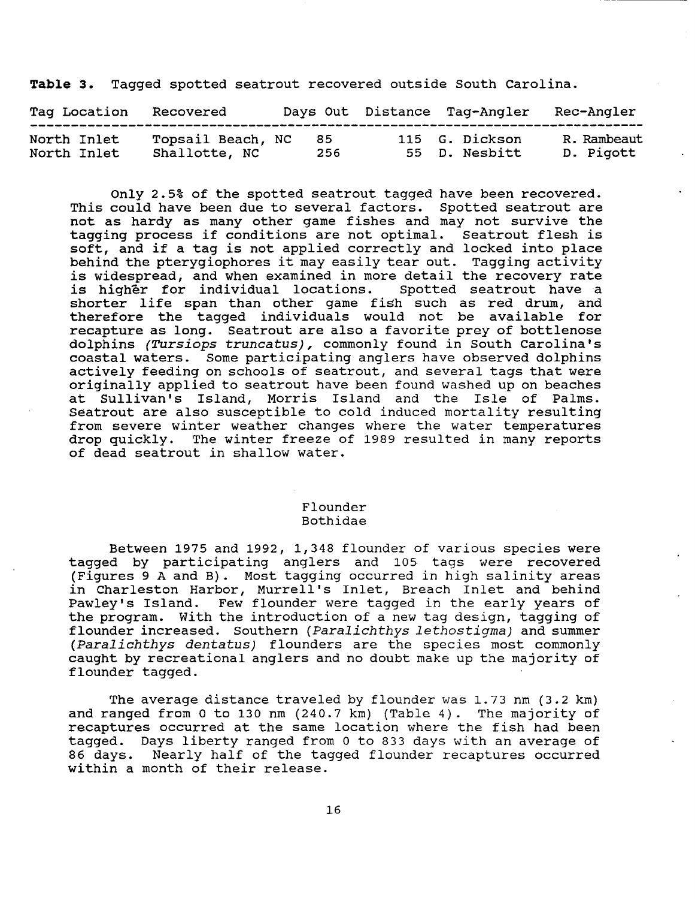**Table** 3. Tagged spotted seatrout recovered outside South Carolina.

| Tag Location<br>-------------- | Recovered                          |             | Days Out Distance Taq-Angler    | Rec-Angler               |
|--------------------------------|------------------------------------|-------------|---------------------------------|--------------------------|
| North Inlet<br>North Inlet     | Topsail Beach, NC<br>Shallotte, NC | -85<br>-256 | 115 G. Dickson<br>55 D. Nesbitt | R. Rambeaut<br>D. Pigott |

Only 2.5% of the spotted seatrout tagged have been recovered. This could have been due to several factors. Spotted seatrout are not as hardy as many other game fishes and may not survive the tagging process if conditions are not optimal. Seatrout flesh is soft, and if a tag is not applied correctly and locked into place behind the pterygiophores it may easily tear out. Tagging activity is widespread, and when examined in more detail the recovery rate<br>is higher for individual locations. Spotted seatrout have a is higher for individual locations. shorter life span than other game fish such as red drum, and therefore the tagged individuals would not be available for recapture as long. Seatrout are also a favorite prey of bottlenose dolphins (Tursiops truncatus), commonly found in South Carolina's coastal waters. Some participating anglers have observed dolphins actively feeding on schools of seatrout, and several tags that were originally applied to seatrout have been found washed up on beaches at Sullivan's Island, Morris Island and the Isle of Palms. Seatrout are also susceptible to cold induced mortality resulting from severe winter weather changes where the water temperatures drop quickly. The winter freeze of 1989 resulted in many reports of dead seatrout in shallow water.

### Flounder Bothidae

Between 1975 and 1992, 1,348 flounder of various species were tagged by participating anglers and 105 tags were recovered (Figures 9 A and B). Most tagging occurred in high salinity areas in Charleston Harbor, Murrell's Inlet, Breach Inlet and behind Pawley's Island. Few flounder were tagged in the early years of the program. With the introduction of a new tag design, tagging of flounder increased. Southern (Paralichthys lethostigma) and summer (Paralichthys dentatus) flounders are the species most commonly caught by recreational anglers and no doubt make up the majority of flounder tagged.

The average distance traveled by flounder was 1.73 nm (3.2 km) and ranged from 0 to 130 nm (240.7 km) (Table 4). The majority of recaptures occurred at the same location where the fish had been tagged. Days liberty ranged from 0 to 833 days with an average of 86 days. Nearly half of the tagged flounder recaptures occurred within a month of their release.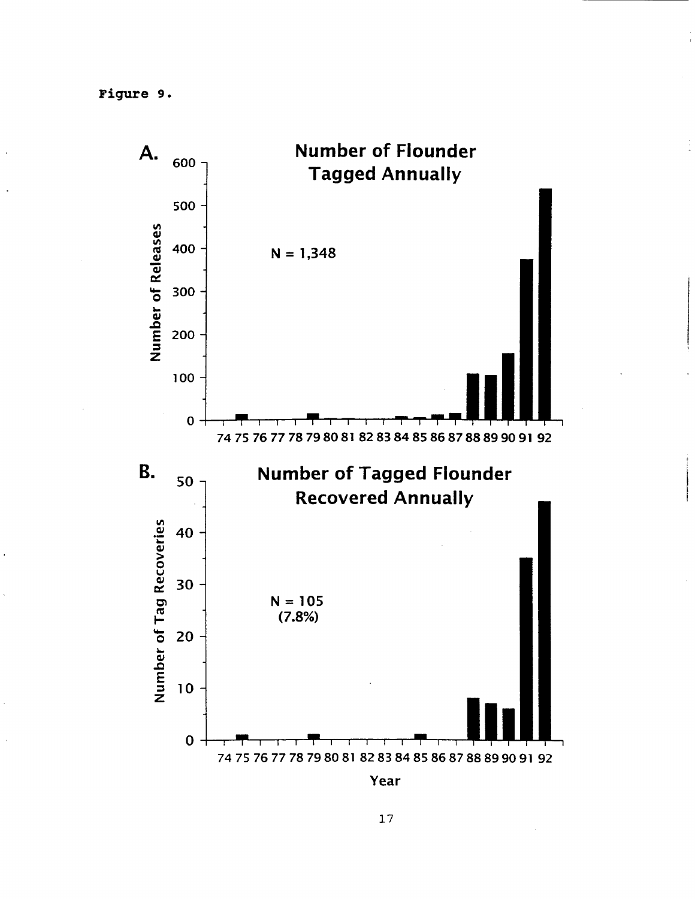Figure 9.



Year